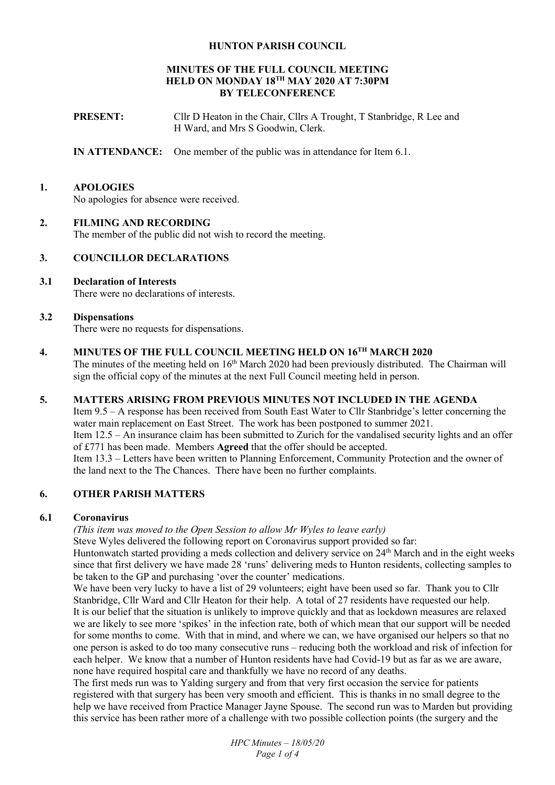### **HUNTON PARISH COUNCIL**

## **MINUTES OF THE FULL COUNCIL MEETING HELD ON MONDAY 18TH MAY 2020 AT 7:30PM BY TELECONFERENCE**

**PRESENT:** Cllr D Heaton in the Chair, Cllrs A Trought, T Stanbridge, R Lee and H Ward, and Mrs S Goodwin, Clerk.

**IN ATTENDANCE:** One member of the public was in attendance for Item 6.1.

# **1. APOLOGIES**

No apologies for absence were received.

#### **2. FILMING AND RECORDING**

The member of the public did not wish to record the meeting.

### **3. COUNCILLOR DECLARATIONS**

# **3.1 Declaration of Interests**

There were no declarations of interests.

#### **3.2 Dispensations**

There were no requests for dispensations.

# **4. MINUTES OF THE FULL COUNCIL MEETING HELD ON 16TH MARCH 2020**

The minutes of the meeting held on 16<sup>th</sup> March 2020 had been previously distributed. The Chairman will sign the official copy of the minutes at the next Full Council meeting held in person.

# **5. MATTERS ARISING FROM PREVIOUS MINUTES NOT INCLUDED IN THE AGENDA**

Item 9.5 – A response has been received from South East Water to Cllr Stanbridge's letter concerning the water main replacement on East Street. The work has been postponed to summer 2021. Item 12.5 – An insurance claim has been submitted to Zurich for the vandalised security lights and an offer of £771 has been made. Members **Agreed** that the offer should be accepted. Item 13.3 – Letters have been written to Planning Enforcement, Community Protection and the owner of the land next to the The Chances. There have been no further complaints.

# **6. OTHER PARISH MATTERS**

#### **6.1 Coronavirus**

*(This item was moved to the Open Session to allow Mr Wyles to leave early)* 

Steve Wyles delivered the following report on Coronavirus support provided so far:

Huntonwatch started providing a meds collection and delivery service on 24<sup>th</sup> March and in the eight weeks since that first delivery we have made 28 'runs' delivering meds to Hunton residents, collecting samples to be taken to the GP and purchasing 'over the counter' medications.

We have been very lucky to have a list of 29 volunteers; eight have been used so far. Thank you to Cllr Stanbridge, Cllr Ward and Cllr Heaton for their help. A total of 27 residents have requested our help. It is our belief that the situation is unlikely to improve quickly and that as lockdown measures are relaxed we are likely to see more 'spikes' in the infection rate, both of which mean that our support will be needed for some months to come. With that in mind, and where we can, we have organised our helpers so that no one person is asked to do too many consecutive runs – reducing both the workload and risk of infection for each helper. We know that a number of Hunton residents have had Covid-19 but as far as we are aware, none have required hospital care and thankfully we have no record of any deaths.

The first meds run was to Yalding surgery and from that very first occasion the service for patients registered with that surgery has been very smooth and efficient. This is thanks in no small degree to the help we have received from Practice Manager Jayne Spouse. The second run was to Marden but providing this service has been rather more of a challenge with two possible collection points (the surgery and the

> *HPC Minutes – 18/05/20 Page 1 of 4*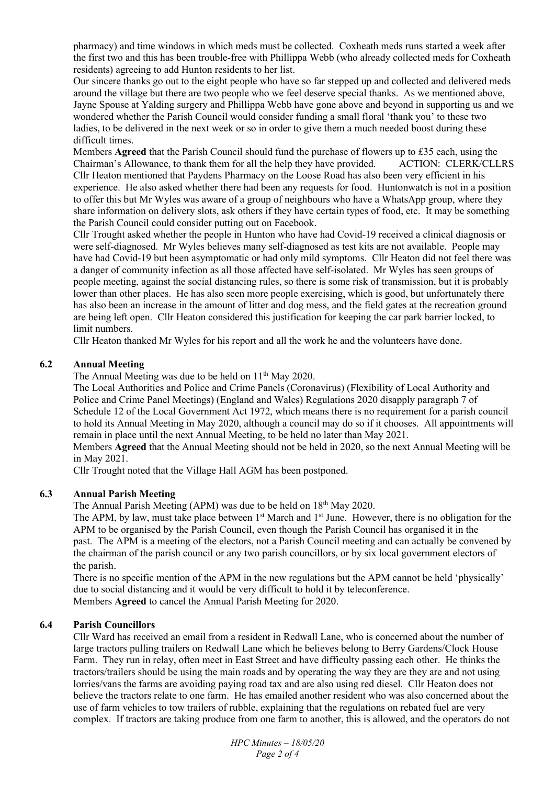pharmacy) and time windows in which meds must be collected. Coxheath meds runs started a week after the first two and this has been trouble-free with Phillippa Webb (who already collected meds for Coxheath residents) agreeing to add Hunton residents to her list.

Our sincere thanks go out to the eight people who have so far stepped up and collected and delivered meds around the village but there are two people who we feel deserve special thanks. As we mentioned above, Jayne Spouse at Yalding surgery and Phillippa Webb have gone above and beyond in supporting us and we wondered whether the Parish Council would consider funding a small floral 'thank you' to these two ladies, to be delivered in the next week or so in order to give them a much needed boost during these difficult times.

Members **Agreed** that the Parish Council should fund the purchase of flowers up to £35 each, using the Chairman's Allowance, to thank them for all the help they have provided. ACTION: CLERK/CLLRS Cllr Heaton mentioned that Paydens Pharmacy on the Loose Road has also been very efficient in his experience. He also asked whether there had been any requests for food. Huntonwatch is not in a position to offer this but Mr Wyles was aware of a group of neighbours who have a WhatsApp group, where they share information on delivery slots, ask others if they have certain types of food, etc. It may be something the Parish Council could consider putting out on Facebook.

Cllr Trought asked whether the people in Hunton who have had Covid-19 received a clinical diagnosis or were self-diagnosed. Mr Wyles believes many self-diagnosed as test kits are not available. People may have had Covid-19 but been asymptomatic or had only mild symptoms. Cllr Heaton did not feel there was a danger of community infection as all those affected have self-isolated. Mr Wyles has seen groups of people meeting, against the social distancing rules, so there is some risk of transmission, but it is probably lower than other places. He has also seen more people exercising, which is good, but unfortunately there has also been an increase in the amount of litter and dog mess, and the field gates at the recreation ground are being left open. Cllr Heaton considered this justification for keeping the car park barrier locked, to limit numbers.

Cllr Heaton thanked Mr Wyles for his report and all the work he and the volunteers have done.

# **6.2 Annual Meeting**

The Annual Meeting was due to be held on  $11<sup>th</sup>$  May 2020.

The Local Authorities and Police and Crime Panels (Coronavirus) (Flexibility of Local Authority and Police and Crime Panel Meetings) (England and Wales) Regulations 2020 disapply paragraph 7 of Schedule 12 of the Local Government Act 1972, which means there is no requirement for a parish council to hold its Annual Meeting in May 2020, although a council may do so if it chooses. All appointments will remain in place until the next Annual Meeting, to be held no later than May 2021.

Members **Agreed** that the Annual Meeting should not be held in 2020, so the next Annual Meeting will be in May 2021.

Cllr Trought noted that the Village Hall AGM has been postponed.

# **6.3 Annual Parish Meeting**

The Annual Parish Meeting (APM) was due to be held on 18<sup>th</sup> May 2020.

The APM, by law, must take place between 1<sup>st</sup> March and 1<sup>st</sup> June. However, there is no obligation for the APM to be organised by the Parish Council, even though the Parish Council has organised it in the past. The APM is a meeting of the electors, not a Parish Council meeting and can actually be convened by the chairman of the parish council or any two parish councillors, or by six local government electors of the parish.

There is no specific mention of the APM in the new regulations but the APM cannot be held 'physically' due to social distancing and it would be very difficult to hold it by teleconference. Members **Agreed** to cancel the Annual Parish Meeting for 2020.

#### **6.4 Parish Councillors**

Cllr Ward has received an email from a resident in Redwall Lane, who is concerned about the number of large tractors pulling trailers on Redwall Lane which he believes belong to Berry Gardens/Clock House Farm. They run in relay, often meet in East Street and have difficulty passing each other. He thinks the tractors/trailers should be using the main roads and by operating the way they are they are and not using lorries/vans the farms are avoiding paying road tax and are also using red diesel. Cllr Heaton does not believe the tractors relate to one farm. He has emailed another resident who was also concerned about the use of farm vehicles to tow trailers of rubble, explaining that the regulations on rebated fuel are very complex. If tractors are taking produce from one farm to another, this is allowed, and the operators do not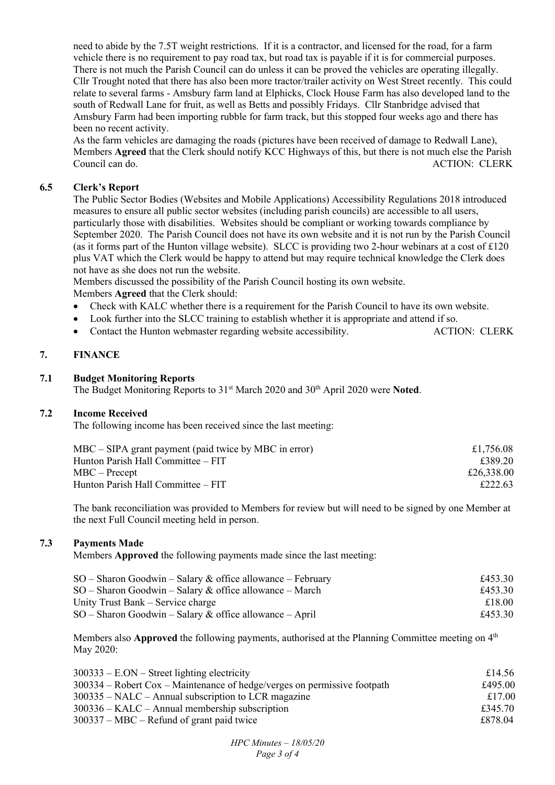need to abide by the 7.5T weight restrictions. If it is a contractor, and licensed for the road, for a farm vehicle there is no requirement to pay road tax, but road tax is payable if it is for commercial purposes. There is not much the Parish Council can do unless it can be proved the vehicles are operating illegally. Cllr Trought noted that there has also been more tractor/trailer activity on West Street recently. This could relate to several farms - Amsbury farm land at Elphicks, Clock House Farm has also developed land to the south of Redwall Lane for fruit, as well as Betts and possibly Fridays. Cllr Stanbridge advised that Amsbury Farm had been importing rubble for farm track, but this stopped four weeks ago and there has been no recent activity.

As the farm vehicles are damaging the roads (pictures have been received of damage to Redwall Lane), Members **Agreed** that the Clerk should notify KCC Highways of this, but there is not much else the Parish Council can do. ACTION: CLERK

#### **6.5 Clerk's Report**

The Public Sector Bodies (Websites and Mobile Applications) Accessibility Regulations 2018 introduced measures to ensure all public sector websites (including parish councils) are accessible to all users, particularly those with disabilities. Websites should be compliant or working towards compliance by September 2020. The Parish Council does not have its own website and it is not run by the Parish Council (as it forms part of the Hunton village website). SLCC is providing two 2-hour webinars at a cost of  $\pounds$ 120 plus VAT which the Clerk would be happy to attend but may require technical knowledge the Clerk does not have as she does not run the website.

Members discussed the possibility of the Parish Council hosting its own website. Members **Agreed** that the Clerk should:

- Check with KALC whether there is a requirement for the Parish Council to have its own website.
- Look further into the SLCC training to establish whether it is appropriate and attend if so.
- Contact the Hunton webmaster regarding website accessibility. ACTION: CLERK

# **7. FINANCE**

#### **7.1 Budget Monitoring Reports**

The Budget Monitoring Reports to 31<sup>st</sup> March 2020 and 30<sup>th</sup> April 2020 were **Noted**.

#### **7.2 Income Received**

The following income has been received since the last meeting:

| $MBC - SIPA$ grant payment (paid twice by MBC in error) | £1,756.08  |
|---------------------------------------------------------|------------|
| Hunton Parish Hall Committee – FIT                      | £389.20    |
| $MBC - Precept$                                         | £26,338.00 |
| Hunton Parish Hall Committee – FIT                      | £222.63    |

The bank reconciliation was provided to Members for review but will need to be signed by one Member at the next Full Council meeting held in person.

# **7.3 Payments Made**

Members **Approved** the following payments made since the last meeting:

| $SO -$ Sharon Goodwin – Salary & office allowance – February | £453.30 |
|--------------------------------------------------------------|---------|
| $SO -$ Sharon Goodwin – Salary & office allowance – March    | £453.30 |
| Unity Trust Bank – Service charge                            | £18.00  |
| $SO -$ Sharon Goodwin – Salary & office allowance – April    | £453.30 |

Members also **Approved** the following payments, authorised at the Planning Committee meeting on  $4<sup>th</sup>$ May 2020:

| $300333 - E. ON - Street lighting electricity$                             | £14.56  |
|----------------------------------------------------------------------------|---------|
| $300334$ – Robert Cox – Maintenance of hedge/verges on permissive footpath | £495.00 |
| $300335$ – NALC – Annual subscription to LCR magazine                      | £17.00  |
| $300336 - KALC - Annual membership$ subscription                           | £345.70 |
| $300337 - \text{MBC} - \text{Refund of grant paid twice}$                  | £878.04 |